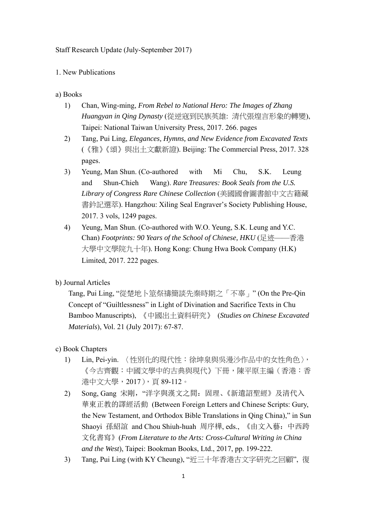Staff Research Update (July-September 2017)

1. New Publications

a) Books

- 1) Chan, Wing-ming, *From Rebel to National Hero: The Images of Zhang Huangyan in Qing Dynasty* (從逆寇到民族英雄: 清代張煌言形象的轉變), Taipei: National Taiwan University Press, 2017. 266. pages
- 2) Tang, Pui Ling, *Elegances, Hymns, and New Evidence from Excavated Texts*  (《雅》《頌》與出土文獻新證). Beijing: The Commercial Press, 2017. 328 pages.
- 3) Yeung, Man Shun. (Co-authored with Mi Chu, S.K. Leung and Shun-Chieh Wang). *Rare Treasures: Book Seals from the U.S. Library of Congress Rare Chinese Collection* (美國國會圖書館中文古籍藏 書鈐記選萃). Hangzhou: Xiling Seal Engraver's Society Publishing House, 2017. 3 vols, 1249 pages.
- 4) Yeung, Man Shun. (Co-authored with W.O. Yeung, S.K. Leung and Y.C. Chan) *Footprints: 90 Years of the School of Chinese, HKU* (足迹——香港 大學中文學院九十年). Hong Kong: Chung Hwa Book Company (H.K) Limited, 2017. 222 pages.
- b) Journal Articles

Tang, Pui Ling, "從楚地卜筮祭禱簡談先秦時期之「不辜」" (On the Pre-Qin Concept of "Guiltlessness" in Light of Divination and Sacrifice Texts in Chu Bamboo Manuscripts), 《中國出土資料研究》 (*Studies on Chinese Excavated Materials*), Vol. 21 (July 2017): 67-87.

## c) Book Chapters

- 1) Lin, Pei-yin. 〈性別化的現代性:徐坤泉與吳漫沙作品中的女性角色〉, 《今古齊觀:中國文學中的古典與現代》下冊,陳平原主編(香港:香 港中文大學,2017),頁 89-112。
- 2) Song, Gang 宋剛, "洋字與漢文之間: 固理、《新遺詔聖經》及清代入 華東正教的譯經活動 (Between Foreign Letters and Chinese Scripts: Gury, the New Testament, and Orthodox Bible Translations in Qing China)," in Sun Shaoyi 孫紹誼 and Chou Shiuh-huah 周序樺, eds., 《由文入藝:中西跨 文化書寫》(*From Literature to the Arts: Cross-Cultural Writing in China and the West*), Taipei: Bookman Books, Ltd., 2017, pp. 199-222.
- 3) Tang, Pui Ling (with KY Cheung), "近三十年香港古文字研究之回顧", 復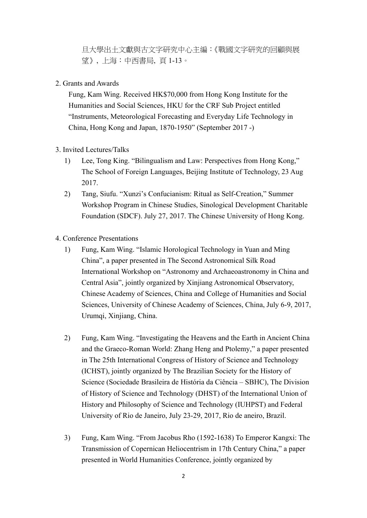旦大學出土文獻與古文字研究中心主編:《戰國文字研究的回顧與展 望》, 上海:中西書局, 頁 1-13。

2. Grants and Awards

Fung, Kam Wing. Received HK\$70,000 from Hong Kong Institute for the Humanities and Social Sciences, HKU for the CRF Sub Project entitled "Instruments, Meteorological Forecasting and Everyday Life Technology in China, Hong Kong and Japan, 1870-1950" (September 2017 -)

- 3. Invited Lectures/Talks
	- 1) Lee, Tong King. "Bilingualism and Law: Perspectives from Hong Kong," The School of Foreign Languages, Beijing Institute of Technology, 23 Aug 2017.
	- 2) Tang, Siufu. "Xunzi's Confucianism: Ritual as Self-Creation," Summer Workshop Program in Chinese Studies, Sinological Development Charitable Foundation (SDCF). July 27, 2017. The Chinese University of Hong Kong.
- 4. Conference Presentations
	- 1) Fung, Kam Wing. "Islamic Horological Technology in Yuan and Ming China", a paper presented in The Second Astronomical Silk Road International Workshop on "Astronomy and Archaeoastronomy in China and Central Asia", jointly organized by Xinjiang Astronomical Observatory, Chinese Academy of Sciences, China and College of Humanities and Social Sciences, University of Chinese Academy of Sciences, China, July 6-9, 2017, Urumqi, Xinjiang, China.
	- 2) Fung, Kam Wing. "Investigating the Heavens and the Earth in Ancient China and the Graeco-Roman World: Zhang Heng and Ptolemy," a paper presented in The 25th International Congress of History of Science and Technology (ICHST), jointly organized by The Brazilian Society for the History of Science (Sociedade Brasileira de História da Ciência – SBHC), The Division of History of Science and Technology (DHST) of the International Union of History and Philosophy of Science and Technology (IUHPST) and Federal University of Rio de Janeiro, July 23-29, 2017, Rio de aneiro, Brazil.
	- 3) Fung, Kam Wing. "From Jacobus Rho (1592-1638) To Emperor Kangxi: The Transmission of Copernican Heliocentrism in 17th Century China," a paper presented in World Humanities Conference, jointly organized by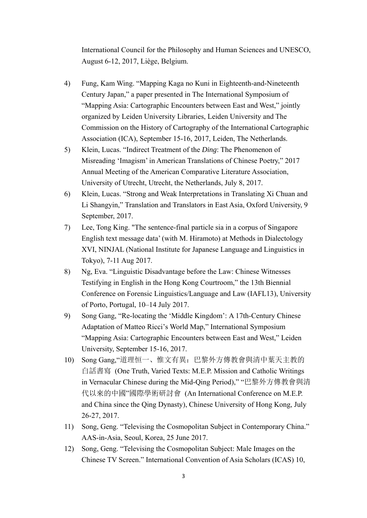International Council for the Philosophy and Human Sciences and UNESCO, August 6-12, 2017, Liège, Belgium.

- 4) Fung, Kam Wing. "Mapping Kaga no Kuni in Eighteenth-and-Nineteenth Century Japan," a paper presented in The International Symposium of "Mapping Asia: Cartographic Encounters between East and West," jointly organized by Leiden University Libraries, Leiden University and The Commission on the History of Cartography of the International Cartographic Association (ICA), September 15-16, 2017, Leiden, The Netherlands.
- 5) Klein, Lucas. "Indirect Treatment of the *Ding*: The Phenomenon of Misreading 'Imagism' in American Translations of Chinese Poetry," 2017 Annual Meeting of the American Comparative Literature Association, University of Utrecht, Utrecht, the Netherlands, July 8, 2017.
- 6) Klein, Lucas. "Strong and Weak Interpretations in Translating Xi Chuan and Li Shangyin," Translation and Translators in East Asia, Oxford University, 9 September, 2017.
- 7) Lee, Tong King. "The sentence-final particle sia in a corpus of Singapore English text message data' (with M. Hiramoto) at Methods in Dialectology XVI, NINJAL (National Institute for Japanese Language and Linguistics in Tokyo), 7-11 Aug 2017.
- 8) Ng, Eva. "Linguistic Disadvantage before the Law: Chinese Witnesses Testifying in English in the Hong Kong Courtroom," the 13th Biennial Conference on Forensic Linguistics/Language and Law (IAFL13), University of Porto, Portugal, 10–14 July 2017.
- 9) Song Gang, "Re-locating the 'Middle Kingdom': A 17th-Century Chinese Adaptation of Matteo Ricci's World Map," International Symposium "Mapping Asia: Cartographic Encounters between East and West," Leiden University, September 15-16, 2017.
- 10) Song Gang,"道理恒一、惟文有異:巴黎外方傳教會與清中葉天主教的 白話書寫 (One Truth, Varied Texts: M.E.P. Mission and Catholic Writings in Vernacular Chinese during the Mid-Qing Period)," "巴黎外方傳教會與清 代以來的中國"國際學術研討會 (An International Conference on M.E.P. and China since the Qing Dynasty), Chinese University of Hong Kong, July 26-27, 2017.
- 11) Song, Geng. "Televising the Cosmopolitan Subject in Contemporary China." AAS-in-Asia, Seoul, Korea, 25 June 2017.
- 12) Song, Geng. "Televising the Cosmopolitan Subject: Male Images on the Chinese TV Screen." International Convention of Asia Scholars (ICAS) 10,